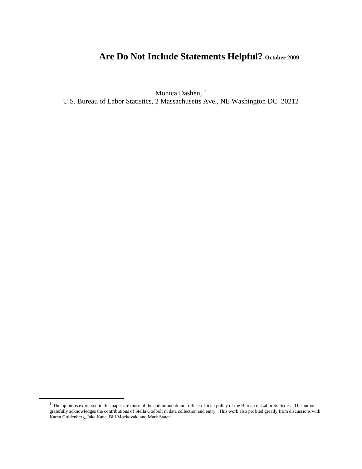# Are Do Not Include Statements Helpful? October 2009

Monica Dashen, <sup>[1](#page-0-0)</sup>

U.S. Bureau of Labor Statistics, 2 Massachusetts Ave., NE Washington DC 20212

<span id="page-0-0"></span> $1$  The opinions expressed in this paper are those of the author and do not reflect official policy of the Bureau of Labor Statistics. The author gratefully acknowledges the contributions of Stella Godbolt in data collection and entry. This work also profited greatly from discussions with Karen Goldenberg, Jake Kane, Bill Mockovak, and Mark Sauer.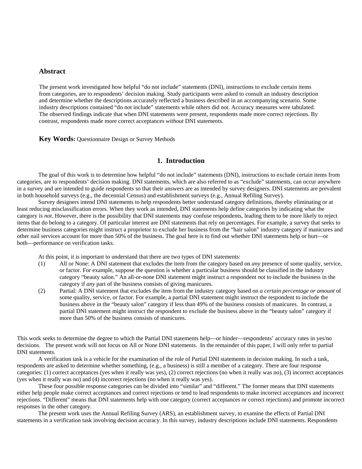#### **Abstract**

The present work investigated how helpful "do not include" statements (DNI), instructions to exclude certain items from categories, are to respondents' decision making. Study participants were asked to consult an industry description and determine whether the descriptions accurately reflected a business described in an accompanying scenario. Some industry descriptions contained "do not include" statements while others did not. Accuracy measures were tabulated. The observed findings indicate that when DNI statements were present, respondents made more correct rejections. By contrast, respondents made more correct acceptances *without* DNI statements.

**Key Words:** Questionnaire Design or Survey Methods

#### **1. Introduction**

The goal of this work is to determine how helpful "do not include" statements (DNI), instructions to exclude certain items from categories, are to respondents' decision making. DNI statements, which are also referred to as "exclude" statements, can occur anywhere in a survey and are intended to guide respondents so that their answers are as intended by survey designers. DNI statements are prevalent in both household surveys (e.g., the decennial Census) and establishment surveys (e.g., Annual Refiling Survey).

Survey designers intend DNI statements to help respondents better understand category definitions, thereby eliminating or at least reducing misclassification errors. When they work as intended, DNI statements help define categories by indicating what the category is *not*. However, there is the possibility that DNI statements may confuse respondents, leading them to be more likely to reject items that do belong to a category. Of particular interest are DNI statements that rely on percentages. For example, a survey that seeks to determine business categories might instruct a proprietor to exclude her business from the "hair salon" industry category if manicures and other nail services account for more than 50% of the business. The goal here is to find out whether DNI statements help or hurt—or both—performance on verification tasks.

At this point, it is important to understand that there are two types of DNI statements:

- (1) All or None: A DNI statement that excludes the item from the category based on *any* presence of some quality, service, or factor. For example, suppose the question is whether a particular business should be classified in the industry category "beauty salon." An all-or-none DNI statement might instruct a respondent *not* to include the business in the category if *any* part of the business consists of giving manicures.
- (2) Partial: A DNI statement that excludes the item from the industry category based on *a certain percentage or amount* of some quality, service, or factor. For example, a partial DNI statement might instruct the respondent to include the business above in the "beauty salon" category if less than 49% of the business consists of manicures. In contrast, a partial DNI statement might instruct the respondent to exclude the business above in the "beauty salon" category if more than 50% of the business consists of manicures.

This work seeks to determine the degree to which the Partial DNI statements help—or hinder—respondents' accuracy rates in yes/no decisions. The present work will not focus on All or None DNI statements. In the remainder of this paper, I will only refer to partial DNI statements.

A verification task is a vehicle for the examination of the role of Partial DNI statements in decision making. In such a task, respondents are asked to determine whether something, (e.g., a business) is still a member of a category. There are four response categories: (1) correct acceptances (yes when it really was yes), (2) correct rejections (no when it really was no), (3) incorrect acceptances (yes when it really was no) and (4) incorrect rejections (no when it really was yes).

These four possible response categories can be divided into "similar" and "different." The former means that DNI statements either help people make correct acceptances and correct rejections or tend to lead respondents to make incorrect acceptances and incorrect rejections. "Different" means that DNI statements help with one category (correct acceptances or correct rejections) and promote incorrect responses in the other category.

The present work uses the Annual Refiling Survey (ARS), an establishment survey, to examine the effects of Partial DNI statements in a verification task involving decision accuracy. In this survey, industry descriptions include DNI statements. Respondents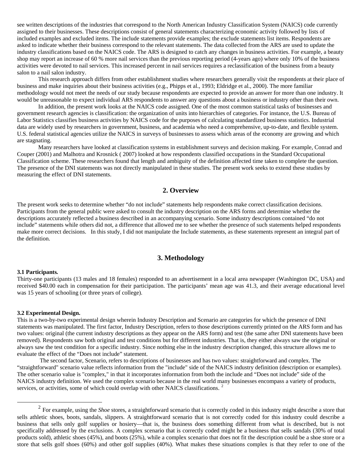see written descriptions of the industries that correspond to the North American Industry Classification System (NAICS) code currently assigned to their businesses. These descriptions consist of general statements characterizing economic activity followed by lists of included examples and excluded items. The include statements provide examples; the exclude statements list items. Respondents are asked to indicate whether their business correspond to the relevant statements. The data collected from the ARS are used to update the industry classifications based on the NAICS code. The ARS is designed to catch any changes in business activities. For example, a beauty shop may report an increase of 60 % more nail services than the previous reporting period (4-years ago) where only 10% of the business activities were devoted to nail services. This increased percent in nail services requires a reclassification of the business from a beauty salon to a nail salon industry.

This research approach differs from other establishment studies where researchers generally visit the respondents at their place of business and make inquiries about their business activities (e.g., Phipps et al., 1993; Eldridge et al., 2000). The more familiar methodology would not meet the needs of our study because respondents are expected to provide an answer for more than one industry. It would be unreasonable to expect individual ARS respondents to answer any questions about a business or industry other than their own.

In addition, the present work looks at the NAICS code assigned. One of the most common statistical tasks of businesses and government research agencies is classification: the organization of units into hierarchies of categories. For instance, the U.S. Bureau of Labor Statistics classifies business activities by NAICS code for the purposes of calculating standardized business statistics. Industrial data are widely used by researchers in government, business, and academia who need a comprehensive, up-to-date, and flexible system. U.S. federal statistical agencies utilize the NAICS in surveys of businesses to assess which areas of the economy are growing and which are stagnating.

Many researchers have looked at classification systems in establishment surveys and decision making. For example, Conrad and Couper (2001) and Malhotra and Krosnick ( 2007) looked at how respondents classified occupations in the Standard Occupational Classification scheme. These researchers found that length and ambiguity of the definition affected time taken to complete the question. The presence of the DNI statements was not directly manipulated in these studies. The present work seeks to extend these studies by measuring the effect of DNI statements.

## **2. Overview**

The present work seeks to determine whether "do not include" statements help respondents make correct classification decisions. Participants from the general public were asked to consult the industry description on the ARS forms and determine whether the descriptions accurately reflected a business described in an accompanying scenario. Some industry descriptions contained "do not include" statements while others did not, a difference that allowed me to see whether the presence of such statements helped respondents make more correct decisions. In this study, I did not manipulate the Include statements, as these statements represent an integral part of the definition.

#### **3. Methodology**

#### **3.1 Participants***.*

Thirty-one participants (13 males and 18 females) responded to an advertisement in a local area newspaper (Washington DC, USA) and received \$40.00 each in compensation for their participation. The participants' mean age was 41.3, and their average educational level was 15 years of schooling (or three years of college).

#### **3.2 Experimental Design.**

This is a two-by-two experimental design wherein Industry Description and Scenario are categories for which the presence of DNI statements was manipulated. The first factor, Industry Description, refers to those descriptions currently printed on the ARS form and has two values: original (the current industry descriptions as they appear on the ARS form) and test (the same after DNI statements have been removed). Respondents saw both original and test conditions but for different industries. That is, they either always saw the original or always saw the test condition for a specific industry. Since nothing else in the industry description changed, this structure allows me to evaluate the effect of the "Does not include" statement.

 The second factor, Scenario, refers to descriptions of businesses and has two values: straightforward and complex. The "straightforward" scenario value reflects information from the "include" side of the NAICS industry definition (description or examples). The other scenario value is "complex," in that it incorporates information from both the include and "Does not include" side of the NAICS industry definition. We used the complex scenario because in the real world many businesses encompass a variety of products, services, or activities, some of which could overlap with other NAICS classifications.<sup>[2](#page-2-0)</sup>

<span id="page-2-0"></span><sup>&</sup>lt;sup>2</sup> For example, using the *Shoe* stores, a straightforward scenario that is correctly coded in this industry might describe a store that sells athletic shoes, boots, sandals, slippers. A straightforward scenario that is not correctly coded for this industry could describe a business that sells only golf supplies or hosiery—that is, the business does something different from what is described, but is not specifically addressed by the exclusions. A complex scenario that is correctly coded might be a business that sells sandals (30% of total products sold), athletic shoes (45%), and boots (25%), while a complex scenario that does not fit the description could be a shoe store or a store that sells golf shoes (60%) and other golf supplies (40%). What makes these situations complex is that they refer to one of the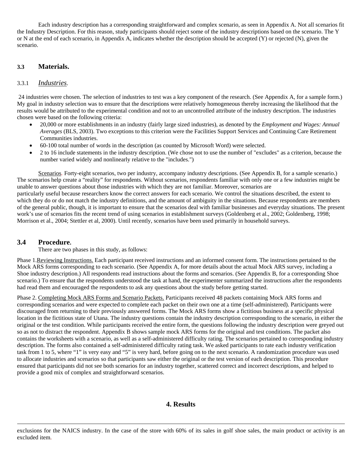Each industry description has a corresponding straightforward and complex scenario, as seen in Appendix A. Not all scenarios fit the Industry Description. For this reason, study participants should reject some of the industry descriptions based on the scenario. The Y or N at the end of each scenario, in Appendix A, indicates whether the description should be accepted (Y) or rejected (N), given the scenario.

#### **3.3 Materials.**

#### 3.3.1 *Industries*.

 24 industries were chosen. The selection of industries to test was a key component of the research. (See Appendix A, for a sample form.) My goal in industry selection was to ensure that the descriptions were relatively homogeneous thereby increasing the likelihood that the results would be attributed to the experimental condition and not to an uncontrolled attribute of the industry description. The industries chosen were based on the following criteria:

- 20,000 or more establishments in an industry (fairly large sized industries), as denoted by the *Employment and Wages: Annual Averages* (BLS, 2003). Two exceptions to this criterion were the Facilities Support Services and Continuing Care Retirement Communities industries.
- 60-100 total number of words in the description (as counted by Microsoft Word) were selected.
- 2 to 16 include statements in the industry description. (We chose not to use the number of "excludes" as a criterion, because the number varied widely and nonlinearly relative to the "includes.")

Scenarios*.* Forty-eight scenarios, two per industry, accompany industry descriptions. (See Appendix B, for a sample scenario.) The scenarios help create a "reality" for respondents. Without scenarios, respondents familiar with only one or a few industries might be unable to answer questions about those industries with which they are not familiar. Moreover, scenarios are particularly useful because researchers know the correct answers for each scenario. We control the situations described, the extent to which they do or do not match the industry definitions, and the amount of ambiguity in the situations. Because respondents are members of the general public, though, it is important to ensure that the scenarios deal with familiar businesses and everyday situations. The present work's use of scenarios fits the recent trend of using scenarios in establishment surveys (Goldenberg et al., 2002; Goldenberg, 1998; Morrison et al., 2004; Stettler et al, 2000). Until recently, scenarios have been used primarily in household surveys.

#### **3.4 Procedure.**

There are two phases in this study, as follows:

Phase 1. Reviewing Instructions. Each participant received instructions and an informed consent form. The instructions pertained to the Mock ARS forms corresponding to each scenario. (See Appendix A, for more details about the actual Mock ARS survey, including a Shoe industry description.) All respondents read instructions about the forms and scenarios. (See Appendix B, for a corresponding Shoe scenario.) To ensure that the respondents understood the task at hand, the experimenter summarized the instructions after the respondents had read them and encouraged the respondents to ask any questions about the study before getting started.

Phase 2. Completing Mock ARS Forms and Scenario Packets. Participants received 48 packets containing Mock ARS forms and corresponding scenarios and were expected to complete each packet on their own one at a time (self-administered). Participants were discouraged from returning to their previously answered forms. The Mock ARS forms show a fictitious business at a specific physical location in the fictitious state of Utana. The industry questions contain the industry description corresponding to the scenario, in either the original or the test condition. While participants received the entire form, the questions following the industry description were greyed out so as not to distract the respondent. Appendix B shows sample mock ARS forms for the original and test conditions. The packet also contains the worksheets with a scenario, as well as a self-administered difficulty rating. The scenarios pertained to corresponding industry description. The forms also contained a self-administered difficulty rating task. We asked participants to rate each industry verification task from 1 to 5, where "1" is very easy and "5" is very hard, before going on to the next scenario. A randomization procedure was used to allocate industries and scenarios so that participants saw either the original or the test version of each description. This procedure ensured that participants did not see both scenarios for an industry together, scattered correct and incorrect descriptions, and helped to provide a good mix of complex and straightforward scenarios.

## **4. Results**

exclusions for the NAICS industry. In the case of the store with 60% of its sales in golf shoe sales, the main product or activity is an excluded item.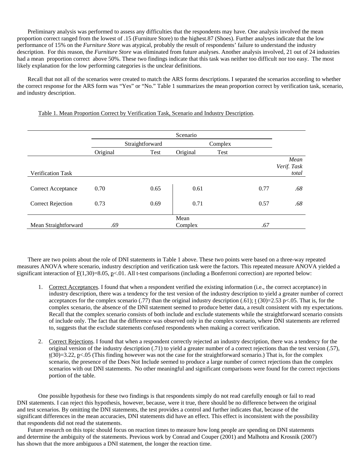Preliminary analysis was performed to assess any difficulties that the respondents may have. One analysis involved the mean proportion correct ranged from the lowest of .15 (Furniture Store) to the highest.87 (Shoes). Further analyses indicate that the low performance of 15% on the *Furniture Store* was atypical, probably the result of respondents' failure to understand the industry description. For this reason, the *Furniture Store* was eliminated from future analyses. Another analysis involved, 21 out of 24 industries had a mean proportion correct above 50%. These two findings indicate that this task was neither too difficult nor too easy. The most likely explanation for the low performing categories is the unclear definitions.

Recall that not all of the scenarios were created to match the ARS forms descriptions. I separated the scenarios according to whether the correct response for the ARS form was "Yes" or "No." Table 1 summarizes the mean proportion correct by verification task, scenario, and industry description.

#### Table 1. Mean Proportion Correct by Verification Task, Scenario and Industry Description.

|                           |          |                 | Scenario        |         |      |                     |
|---------------------------|----------|-----------------|-----------------|---------|------|---------------------|
|                           |          | Straightforward |                 | Complex |      |                     |
|                           | Original | Test            | Original        | Test    |      |                     |
|                           |          |                 |                 |         |      | Mean<br>Verif. Task |
| <b>Verification Task</b>  |          |                 |                 |         |      | total               |
| <b>Correct Acceptance</b> | 0.70     | 0.65            | 0.61            |         | 0.77 | .68                 |
| <b>Correct Rejection</b>  | 0.73     | 0.69            | 0.71            |         | 0.57 | .68                 |
| Mean Straightforward      | .69      |                 | Mean<br>Complex |         | .67  |                     |

There are two points about the role of DNI statements in Table 1 above. These two points were based on a three-way repeated measures ANOVA where scenario, industry description and verification task were the factors. This repeated measure ANOVA yielded a significant interaction of  $F(1,30)=8.05$ , p<.01. All t-test comparisons (including a Bonferroni correction) are reported below:

- 1. Correct Acceptances. I found that when a respondent verified the existing information (i.e., the correct acceptance) in industry description, there was a tendency for the test version of the industry description to yield a greater number of correct acceptances for the complex scenario (.77) than the original industry description (.61); t (30)=2.53 p<.05. That is, for the complex scenario, the absence of the DNI statement seemed to produce better data, a result consistent with my expectations. Recall that the complex scenario consists of both include and exclude statements while the straightforward scenario consists of include only. The fact that the difference was observed only in the complex scenario, where DNI statements are referred to, suggests that the exclude statements confused respondents when making a correct verification.
- 2. Correct Rejections. I found that when a respondent correctly rejected an industry description, there was a tendency for the original version of the industry description (.71) to yield a greater number of a correct rejections than the test version (.57),  $t(30)=3.22$ , p<.05 (This finding however was not the case for the straightforward scenario.) That is, for the complex scenario, the presence of the Does Not Include seemed to produce a large number of correct rejections than the complex scenarios with out DNI statements. No other meaningful and significant comparisons were found for the correct rejections portion of the table.

One possible hypothesis for these two findings is that respondents simply do not read carefully enough or fail to read DNI statements. I can reject this hypothesis, however, because, were it true, there should be no difference between the original and test scenarios. By omitting the DNI statements, the test provides a control and further indicates that, because of the significant differences in the mean accuracies, DNI statements did have an effect. This effect is inconsistent with the possibility that respondents did not read the statements.

Future research on this topic should focus on reaction times to measure how long people are spending on DNI statements and determine the ambiguity of the statements. Previous work by Conrad and Couper (2001) and Malhotra and Krosnik (2007) has shown that the more ambiguous a DNI statement, the longer the reaction time.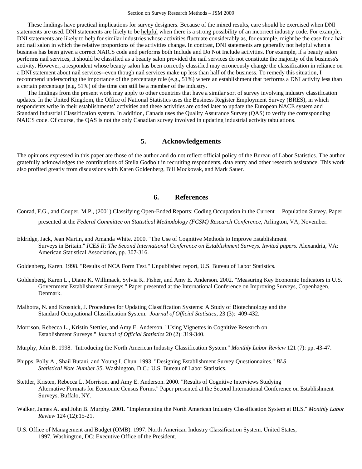These findings have practical implications for survey designers. Because of the mixed results, care should be exercised when DNI statements are used. DNI statements are likely to be helpful when there is a strong possibility of an incorrect industry code. For example, DNI statements are likely to help for similar industries whose activities fluctuate considerably as, for example, might be the case for a hair and nail salon in which the relative proportions of the activities change. In contrast, DNI statements are generally not helpful when a business has been given a correct NAICS code and performs both Include and Do Not Include activities. For example, if a beauty salon performs nail services, it should be classified as a beauty salon provided the nail services do not constitute the majority of the business's activity. However, a respondent whose beauty salon has been correctly classified may erroneously change the classification in reliance on a DNI statement about nail services--even though nail services make up less than half of the business. To remedy this situation, I recommend underscoring the importance of the percentage rule (e.g., 51%) where an establishment that performs a DNI activity less than a certain percentage (e.g, 51%) of the time can still be a member of the industry.

The findings from the present work may apply to other countries that have a similar sort of survey involving industry classification updates. In the United Kingdom, the Office of National Statistics uses the Business Register Employment Survey (BRES), in which respondents write in their establishments' activities and these activities are coded later to update the European NACE system and Standard Industrial Classification system. In addition, Canada uses the Quality Assurance Survey (QAS) to verify the corresponding NAICS code. Of course, the QAS is not the only Canadian survey involved in updating industrial activity tabulations.

## **5. Acknowledgements**

The opinions expressed in this paper are those of the author and do not reflect official policy of the Bureau of Labor Statistics. The author gratefully acknowledges the contributions of Stella Godbolt in recruiting respondents, data entry and other research assistance. This work also profited greatly from discussions with Karen Goldenberg, Bill Mockovak, and Mark Sauer.

### **6. References**

Conrad, F.G., and Couper, M.P., (2001) Classifying Open-Ended Reports: Coding Occupation in the Current Population Survey. Paper

presented at the *Federal Committee on Statistical Methodology (FCSM) Research Conference*, Arlington, VA, November.

Eldridge, Jack, Jean Martin, and Amanda White. 2000. "The Use of Cognitive Methods to Improve Establishment Surveys in Britain." *ICES II: The Second International Conference on Establishment Surveys. Invited papers.* Alexandria, VA: American Statistical Association, pp. 307-316.

Goldenberg, Karen. 1998. "Results of NCA Form Test." Unpublished report, U.S. Bureau of Labor Statistics.

- Goldenberg, Karen L., Diane K. Willimack, Sylvia K. Fisher, and Amy E. Anderson. 2002. "Measuring Key Economic Indicators in U.S. Government Establishment Surveys." Paper presented at the International Conference on Improving Surveys, Copenhagen, Denmark.
- Malhotra, N. and Krosnick, J. Procedures for Updating Classification Systems: A Study of Biotechnology and the Standard Occupational Classification System. *Journal of Official Statistics*, 23 (3): 409-432.
- Morrison, Rebecca L., Kristin Stettler, and Amy E. Anderson. "Using Vignettes in Cognitive Research on Establishment Surveys." *Journal of Official Statistics* 20 (2): 319-340.
- Murphy, John B. 1998. "Introducing the North American Industry Classification System." *Monthly Labor Review* 121 (7): pp. 43-47.
- Phipps, Polly A., Shail Butani, and Young I. Chun. 1993. "Designing Establishment Survey Questionnaires." *BLS Statistical Note Number 35.* Washington, D.C.: U.S. Bureau of Labor Statistics.
- Stettler, Kristen, Rebecca L. Morrison, and Amy E. Anderson. 2000. "Results of Cognitive Interviews Studying Alternative Formats for Economic Census Forms." Paper presented at the Second International Conference on Establishment Surveys, Buffalo, NY.
- Walker, James A. and John B. Murphy. 2001. "Implementing the North American Industry Classification System at BLS." *Monthly Labor Review* 124 (12):15-21.
- U.S. Office of Management and Budget (OMB). 1997. North American Industry Classification System. United States, 1997. Washington, DC: Executive Office of the President.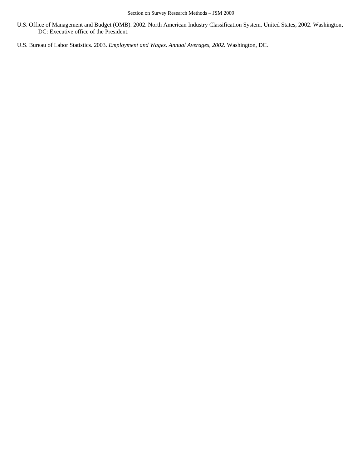- U.S. Office of Management and Budget (OMB). 2002. North American Industry Classification System. United States, 2002. Washington, DC: Executive office of the President.
- U.S. Bureau of Labor Statistics. 2003. *Employment and Wages. Annual Averages, 2002.* Washington, DC.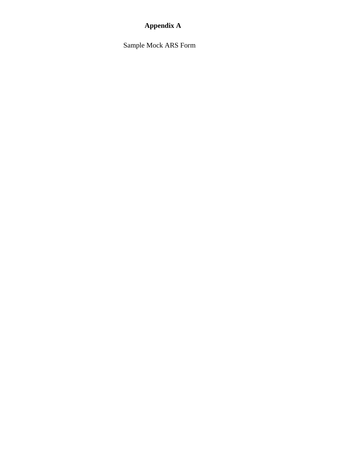## **Appendix A**

Sample Mock ARS Form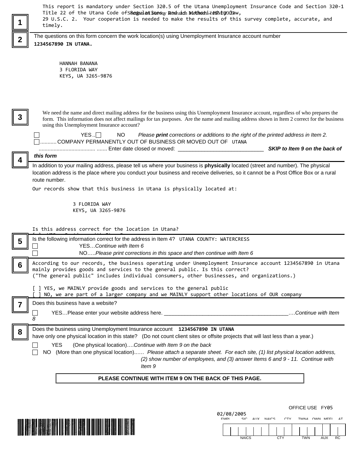| 1                                                                                                                                                                                       | This report is mandatory under Section 320.5 of the Utana Unemployment Insurance Code and Section 320-1<br>Title 22 of the Utana Code of SReiguilant Sunsey Research MethodsizeSND3009aw,<br>29 U.S.C. 2. Your cooperation is needed to make the results of this survey complete, accurate, and<br>timely.                                                                    |  |  |  |  |  |  |  |  |
|-----------------------------------------------------------------------------------------------------------------------------------------------------------------------------------------|-------------------------------------------------------------------------------------------------------------------------------------------------------------------------------------------------------------------------------------------------------------------------------------------------------------------------------------------------------------------------------|--|--|--|--|--|--|--|--|
| $\overline{\mathbf{2}}$                                                                                                                                                                 | The questions on this form concern the work location(s) using Unemployment Insurance account number<br>1234567890 IN UTANA.                                                                                                                                                                                                                                                   |  |  |  |  |  |  |  |  |
|                                                                                                                                                                                         | HANNAH BANANA<br>3 FLORIDA WAY<br>KEYS, UA 3265-9876                                                                                                                                                                                                                                                                                                                          |  |  |  |  |  |  |  |  |
| 3                                                                                                                                                                                       | We need the name and direct mailing address for the business using this Unemployment Insurance account, regardless of who prepares the<br>form. This information does not affect mailings for tax purposes. Are the name and mailing address shown in Item 2 correct for the business<br>using this Unemployment Insurance account?                                           |  |  |  |  |  |  |  |  |
|                                                                                                                                                                                         | $YES. \Box$<br>NO.<br>Please print corrections or additions to the right of the printed address in Item 2.<br>COMPANY PERMANENTLY OUT OF BUSINESS OR MOVED OUT OF UTANA<br>SKIP to Item 9 on the back of                                                                                                                                                                      |  |  |  |  |  |  |  |  |
| $\overline{\mathbf{4}}$                                                                                                                                                                 | this form<br>In addition to your mailing address, please tell us where your business is physically located (street and number). The physical<br>location address is the place where you conduct your business and receive deliveries, so it cannot be a Post Office Box or a rural<br>route number.<br>Our records show that this business in Utana is physically located at: |  |  |  |  |  |  |  |  |
|                                                                                                                                                                                         | 3 FLORIDA WAY<br>KEYS, UA 3265-9876                                                                                                                                                                                                                                                                                                                                           |  |  |  |  |  |  |  |  |
|                                                                                                                                                                                         | Is this address correct for the location in Utana?                                                                                                                                                                                                                                                                                                                            |  |  |  |  |  |  |  |  |
| 5                                                                                                                                                                                       | Is the following information correct for the address in Item 4? UTANA COUNTY: WATERCRESS<br>YESContinue with Item 6<br>NOPlease print corrections in this space and then continue with Item 6                                                                                                                                                                                 |  |  |  |  |  |  |  |  |
| According to our records, the business operating under Unemployment Insurance account 1234567890 in Utana<br>mainly provides goods and services to the general public. Is this correct? |                                                                                                                                                                                                                                                                                                                                                                               |  |  |  |  |  |  |  |  |
|                                                                                                                                                                                         | ("The general public" includes individual consumers, other businesses, and organizations.)                                                                                                                                                                                                                                                                                    |  |  |  |  |  |  |  |  |
|                                                                                                                                                                                         | [ ] YES, we MAINLY provide goods and services to the general public<br>NO, we are part of a larger company and we MAINLY support other locations of OUR company                                                                                                                                                                                                               |  |  |  |  |  |  |  |  |
|                                                                                                                                                                                         | Does this business have a website?                                                                                                                                                                                                                                                                                                                                            |  |  |  |  |  |  |  |  |
|                                                                                                                                                                                         | YESPlease enter your website address here. __________________________________<br>Continue with Item<br>8                                                                                                                                                                                                                                                                      |  |  |  |  |  |  |  |  |
| 8                                                                                                                                                                                       | Does the business using Unemployment Insurance account 1234567890 IN UTANA<br>have only one physical location in this state? (Do not count client sites or offsite projects that will last less than a year.)                                                                                                                                                                 |  |  |  |  |  |  |  |  |
|                                                                                                                                                                                         | (One physical location)Continue with Item 9 on the back<br>YES.<br>NO (More than one physical location) Please attach a separate sheet. For each site, (1) list physical location address,<br>(2) show number of employees, and (3) answer Items 6 and 9 - 11. Continue with<br>ltem 9                                                                                        |  |  |  |  |  |  |  |  |
|                                                                                                                                                                                         | PLEASE CONTINUE WITH ITEM 9 ON THE BACK OF THIS PAGE.                                                                                                                                                                                                                                                                                                                         |  |  |  |  |  |  |  |  |
|                                                                                                                                                                                         |                                                                                                                                                                                                                                                                                                                                                                               |  |  |  |  |  |  |  |  |
|                                                                                                                                                                                         | OFFICE USE FY05                                                                                                                                                                                                                                                                                                                                                               |  |  |  |  |  |  |  |  |
|                                                                                                                                                                                         | 02/08/2005<br><b>EMPI</b><br>SIC AIIX NAICS<br>TWNA OWN MEEL<br>rτν                                                                                                                                                                                                                                                                                                           |  |  |  |  |  |  |  |  |

|  | <b>NAICS</b> |  | $\sim$ Ty |  | <b>TWN</b><br> |  | <b>AUX</b> | RC |  |
|--|--------------|--|-----------|--|----------------|--|------------|----|--|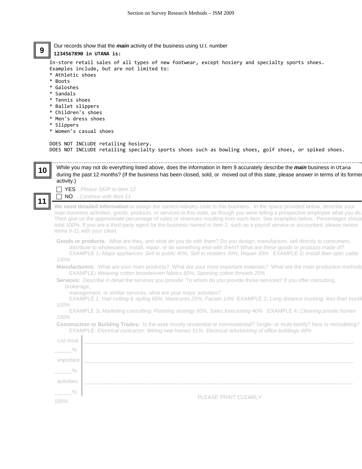Our records show that the *main* activity of the business using U.I. number **9**

**1234567890 in UTANA is:**

In-store retail sales of all types of new footwear, except hosiery and specialty sports shoes. Examples include, but are not limited to:

- \* Athletic shoes
- \* Boots
- \* Galoshes
- \* Sandals
- \* Tennis shoes
- \* Ballet slippers
- \* Children's shoes
- \* Men's dress shoes
- \* Slippers

**10** 

**11**

\* Women's casual shoes

#### DOES NOT INCLUDE retailing hosiery. DOES NOT INCLUDE retailing specialty sports shoes such as bowling shoes, golf shoes, or spiked shoes.

While you may not do everything listed above, does the information in Item 9 accurately describe the *main* business in Utana during the past 12 months? (If the business has been closed, sold, or moved out of this state, please answer in terms of its forme activity.)

F YES…*Please SKIP to Item 12*

F NO….*Continue with Item 11*

**We need detailed information** to assign the correct industry code to this business. In the space provided below, describe your main business activities, goods, products, or services in this state, as though you were telling a prospective employee what you do. Then give us the approximate percentage of sales or revenues resulting from each item. See examples below. Percentages should total 100%. If you are a third party agent for the business named in Item 2, such as a payroll service or accountant, please review Items 9-11 with your client.

**Goods or products***:* What are they, and what do you do with them? Do you design, manufacture, sell directly to consumers, distribute to wholesalers, install, repair, or do something else with them? What are these goods or products made of? EXAMPLE 1**:** *Major appliances: Sell to public 40%; Sell to retailers 30%; Repair 30%* EXAMPLE 2**:** *Install fiber optic cable* 

*100%* 

 $\mathbf{I}$ 

**Manufacturers:** What are your main products? What are your most important materials? What are the main production methods EXAMPLE*: Weaving cotton broadwoven fabrics 80%; Spinning cotton threads 20%*

**Services:** Describe in detail the services you provide. To whom do you provide those services? If you offer consulting, brokerage,

management, or similar services, what are your major activities?

EXAMPLE 1: *Hair cutting & styling 65%; Manicures 25%; Facials 10%* EXAMPLE 2**:** *Long distance trucking, less than trucklo 100%* 

EXAMPLE 3**:** *Marketing consulting: Planning strategy 60%, Sales forecasting 40%* EXAMPLE 4**:** *Cleaning private homes 100%* 

**Construction or Building Trades***:* Is the work mostly residential or nonresidential? Single- or multi-family? New or remodeling? EXAMPLE*: Electrical contractor: Wiring new homes 51%; Electrical refurbishing of office buildings 49%* 

| List most     |                      |
|---------------|----------------------|
| $\frac{0}{0}$ |                      |
| important     |                      |
| $\%$          |                      |
| activities    |                      |
| $\%$          |                      |
| 100%          | PLEASE PRINT CLEARLY |